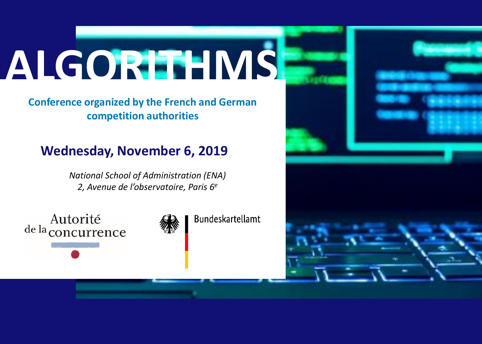# **ALGORITHMS**

**Conference organized by the French and German competition authorities**

### **Wednesday, November 6, 2019**

*National School of Administration (ENA) 2, Avenue de l'observatoire, Paris 6e*

Autorité de la concurrence



**Bundeskartellamt** 

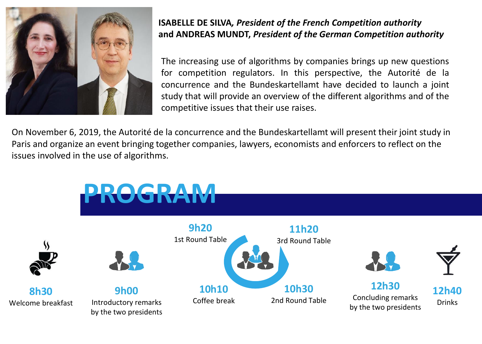

**ISABELLE DE SILVA***, President of the French Competition authority* **and ANDREAS MUNDT,** *President of the German Competition authority*

The increasing use of algorithms by companies brings up new questions for competition regulators. In this perspective, the Autorité de la concurrence and the Bundeskartellamt have decided to launch a joint study that will provide an overview of the different algorithms and of the competitive issues that their use raises.

On November 6, 2019, the Autorité de la concurrence and the Bundeskartellamt will present their joint study in Paris and organize an event bringing together companies, lawyers, economists and enforcers to reflect on the issues involved in the use of algorithms.

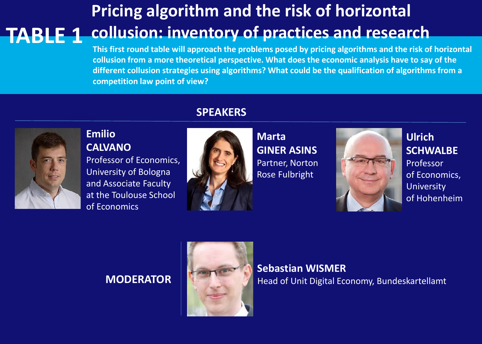## **Pricing algorithm and the risk of horizontal collusion: inventory of practices and research TABLE 1**

**This first round table will approach the problems posed by pricing algorithms and the risk of horizontal collusion from a more theoretical perspective. What does the economic analysis have to say of the different collusion strategies using algorithms? What could be the qualification of algorithms from a competition law point of view?**



### **Emilio CALVANO**

Professor of Economics, University of Bologna and Associate Faculty at the Toulouse School of Economics

### **SPEAKERS**



**Marta GINER ASINS** Partner, Norton Rose Fulbright



**Ulrich SCHWALBE** Professor of Economics, University of Hohenheim

### **MODERATOR**



**Sebastian WISMER** Head of Unit Digital Economy, Bundeskartellamt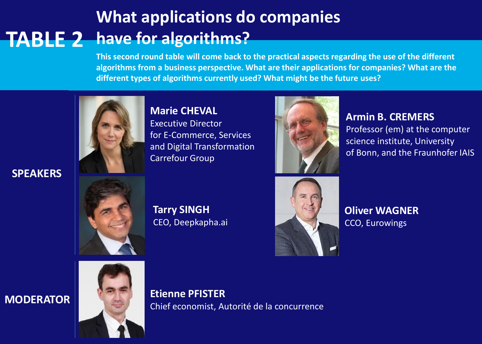### **What applications do companies TABLE 2 have for algorithms?**

**This second round table will come back to the practical aspects regarding the use of the different algorithms from a business perspective. What are their applications for companies? What are the different types of algorithms currently used? What might be the future uses?**

![](_page_3_Picture_2.jpeg)

**SPEAKERS**

**Marie CHEVAL** Executive Director for E-Commerce, Services and Digital Transformation Carrefour Group

![](_page_3_Picture_5.jpeg)

**Armin B. CREMERS** Professor (em) at the computer science institute, University of Bonn, and the Fraunhofer IAIS

![](_page_3_Picture_7.jpeg)

**Tarry SINGH** CEO, Deepkapha.ai

![](_page_3_Picture_9.jpeg)

**Oliver WAGNER** CCO, Eurowings

![](_page_3_Picture_12.jpeg)

**MODERATOR Etienne PFISTER** Chief economist, Autorité de la concurrence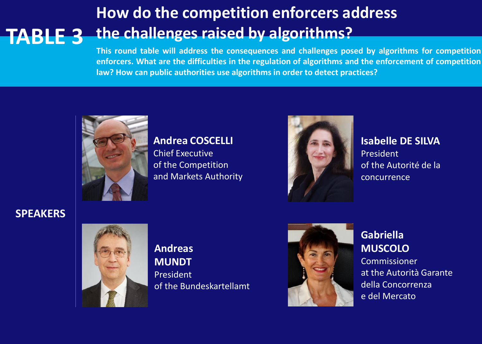### **How do the competition enforcers address the challenges raised by algorithms? TABLE 3**

**This round table will address the consequences and challenges posed by algorithms for competition enforcers. What are the difficulties in the regulation of algorithms and the enforcement of competition law? How can public authorities use algorithms in order to detect practices?**

![](_page_4_Picture_2.jpeg)

#### **Andrea COSCELLI**

Chief Executive of the Competition and Markets Authority

![](_page_4_Picture_5.jpeg)

**Isabelle DE SILVA** President of the Autorité de la concurrence

**SPEAKERS**

![](_page_4_Picture_8.jpeg)

**Andreas MUNDT** President of the Bundeskartellamt

![](_page_4_Picture_10.jpeg)

**Gabriella MUSCOLO**

Commissioner at the Autorità Garante della Concorrenza e del Mercato